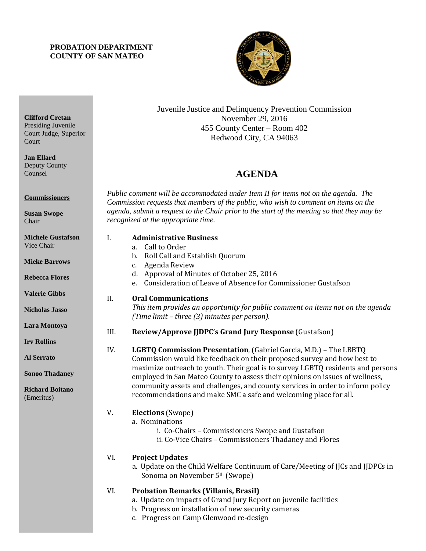# **PROBATION DEPARTMENT COUNTY OF SAN MATEO**



Juvenile Justice and Delinquency Prevention Commission November 29, 2016 455 County Center – Room 402 Redwood City, CA 94063

# 4B**AGENDA**

*Public comment will be accommodated under Item II for items not on the agenda. The Commission requests that members of the public, who wish to comment on items on the agenda, submit a request to the Chair prior to the start of the meeting so that they may be recognized at the appropriate time.* 

# I. **Administrative Business** a. Call to Order b. Roll Call and Establish Quorum c. Agenda Review d. Approval of Minutes of October 25, 2016 e. Consideration of Leave of Absence for Commissioner Gustafson II. **Oral Communications** *This item provides an opportunity for public comment on items not on the agenda (Time limit – three (3) minutes per person).* III. **Review/Approve JJDPC's Grand Jury Response** (Gustafson) IV. **LGBTQ Commission Presentation**, (Gabriel Garcia, M.D.) – The LBBTQ Commission would like feedback on their proposed survey and how best to maximize outreach to youth. Their goal is to survey LGBTQ residents and persons employed in San Mateo County to assess their opinions on issues of wellness, community assets and challenges, and county services in order to inform policy recommendations and make SMC a safe and welcoming place for all. V. **Elections** (Swope) a. Nominations i. Co-Chairs – Commissioners Swope and Gustafson ii. Co-Vice Chairs – Commissioners Thadaney and Flores VI. **Project Updates** a. Update on the Child Welfare Continuum of Care/Meeting of JJCs and JJDPCs in Sonoma on November 5th (Swope)

# VI. **Probation Remarks (Villanis, Brasil)**

- a. Update on impacts of Grand Jury Report on juvenile facilities
- b. Progress on installation of new security cameras
- c. Progress on Camp Glenwood re-design

**Clifford Cretan** Presiding Juvenile Court Judge, Superior **Court** 

**Jan Ellard** Deputy County Counsel

**Commissioners**

**Susan Swope** Chair

**Michele Gustafson** Vice Chair

**Mieke Barrows**

**Rebecca Flores**

**Valerie Gibbs**

**Nicholas Jasso**

**Lara Montoya**

**Irv Rollins** 

**Al Serrato**

**Sonoo Thadaney**

**Richard Boitano** (Emeritus)